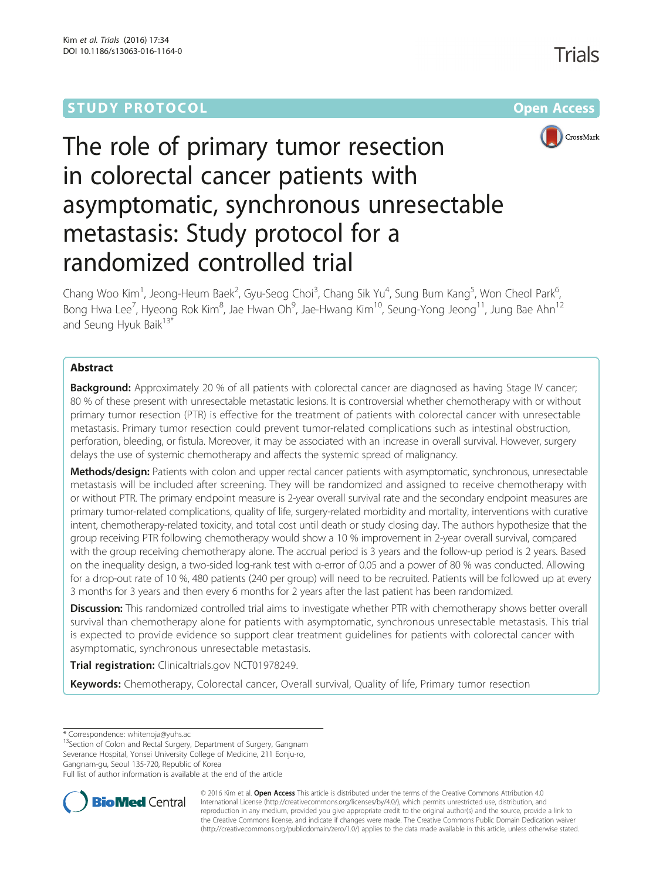# **STUDY PROTOCOL CONSUMING THE RESERVE ACCESS**



# The role of primary tumor resection in colorectal cancer patients with asymptomatic, synchronous unresectable metastasis: Study protocol for a randomized controlled trial

Chang Woo Kim<sup>1</sup>, Jeong-Heum Baek<sup>2</sup>, Gyu-Seog Choi<sup>3</sup>, Chang Sik Yu<sup>4</sup>, Sung Bum Kang<sup>5</sup>, Won Cheol Park<sup>6</sup> , Bong Hwa Lee<sup>7</sup>, Hyeong Rok Kim $^8$ , Jae Hwan Oh $^9$ , Jae-Hwang Kim $^{10}$ , Seung-Yong Jeong $^{11}$ , Jung Bae Ahn $^{12}$ and Seung Hyuk Baik<sup>13\*</sup>

# Abstract

Background: Approximately 20 % of all patients with colorectal cancer are diagnosed as having Stage IV cancer; 80 % of these present with unresectable metastatic lesions. It is controversial whether chemotherapy with or without primary tumor resection (PTR) is effective for the treatment of patients with colorectal cancer with unresectable metastasis. Primary tumor resection could prevent tumor-related complications such as intestinal obstruction, perforation, bleeding, or fistula. Moreover, it may be associated with an increase in overall survival. However, surgery delays the use of systemic chemotherapy and affects the systemic spread of malignancy.

Methods/design: Patients with colon and upper rectal cancer patients with asymptomatic, synchronous, unresectable metastasis will be included after screening. They will be randomized and assigned to receive chemotherapy with or without PTR. The primary endpoint measure is 2-year overall survival rate and the secondary endpoint measures are primary tumor-related complications, quality of life, surgery-related morbidity and mortality, interventions with curative intent, chemotherapy-related toxicity, and total cost until death or study closing day. The authors hypothesize that the group receiving PTR following chemotherapy would show a 10 % improvement in 2-year overall survival, compared with the group receiving chemotherapy alone. The accrual period is 3 years and the follow-up period is 2 years. Based on the inequality design, a two-sided log-rank test with α-error of 0.05 and a power of 80 % was conducted. Allowing for a drop-out rate of 10 %, 480 patients (240 per group) will need to be recruited. Patients will be followed up at every 3 months for 3 years and then every 6 months for 2 years after the last patient has been randomized.

**Discussion:** This randomized controlled trial aims to investigate whether PTR with chemotherapy shows better overall survival than chemotherapy alone for patients with asymptomatic, synchronous unresectable metastasis. This trial is expected to provide evidence so support clear treatment guidelines for patients with colorectal cancer with asymptomatic, synchronous unresectable metastasis.

Trial registration: Clinicaltrials.gov [NCT01978249](https://clinicaltrials.gov/ct2/show/NCT01978249?term=NCT01978249&rank=1).

Keywords: Chemotherapy, Colorectal cancer, Overall survival, Quality of life, Primary tumor resection

\* Correspondence: [whitenoja@yuhs.ac](mailto:whitenoja@yuhs.ac)<br><sup>13</sup>Section of Colon and Rectal Surgery, Department of Surgery, Gangnam Severance Hospital, Yonsei University College of Medicine, 211 Eonju-ro, Gangnam-gu, Seoul 135-720, Republic of Korea

Full list of author information is available at the end of the article



© 2016 Kim et al. Open Access This article is distributed under the terms of the Creative Commons Attribution 4.0 International License [\(http://creativecommons.org/licenses/by/4.0/](http://creativecommons.org/licenses/by/4.0/)), which permits unrestricted use, distribution, and reproduction in any medium, provided you give appropriate credit to the original author(s) and the source, provide a link to the Creative Commons license, and indicate if changes were made. The Creative Commons Public Domain Dedication waiver [\(http://creativecommons.org/publicdomain/zero/1.0/](http://creativecommons.org/publicdomain/zero/1.0/)) applies to the data made available in this article, unless otherwise stated.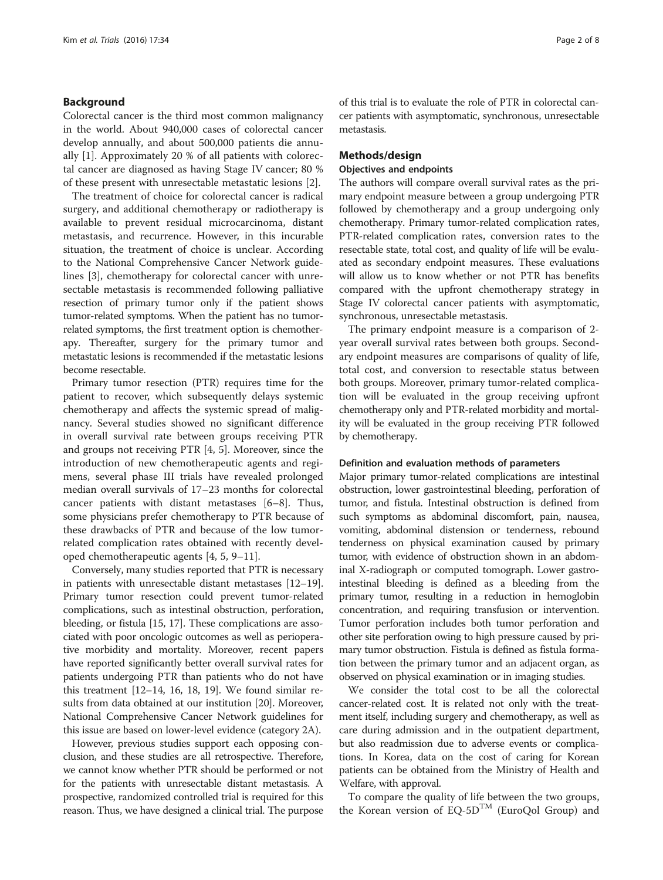#### Background

Colorectal cancer is the third most common malignancy in the world. About 940,000 cases of colorectal cancer develop annually, and about 500,000 patients die annually [[1\]](#page-7-0). Approximately 20 % of all patients with colorectal cancer are diagnosed as having Stage IV cancer; 80 % of these present with unresectable metastatic lesions [[2\]](#page-7-0).

The treatment of choice for colorectal cancer is radical surgery, and additional chemotherapy or radiotherapy is available to prevent residual microcarcinoma, distant metastasis, and recurrence. However, in this incurable situation, the treatment of choice is unclear. According to the National Comprehensive Cancer Network guidelines [\[3](#page-7-0)], chemotherapy for colorectal cancer with unresectable metastasis is recommended following palliative resection of primary tumor only if the patient shows tumor-related symptoms. When the patient has no tumorrelated symptoms, the first treatment option is chemotherapy. Thereafter, surgery for the primary tumor and metastatic lesions is recommended if the metastatic lesions become resectable.

Primary tumor resection (PTR) requires time for the patient to recover, which subsequently delays systemic chemotherapy and affects the systemic spread of malignancy. Several studies showed no significant difference in overall survival rate between groups receiving PTR and groups not receiving PTR [\[4](#page-7-0), [5](#page-7-0)]. Moreover, since the introduction of new chemotherapeutic agents and regimens, several phase III trials have revealed prolonged median overall survivals of 17–23 months for colorectal cancer patients with distant metastases [[6](#page-7-0)–[8\]](#page-7-0). Thus, some physicians prefer chemotherapy to PTR because of these drawbacks of PTR and because of the low tumorrelated complication rates obtained with recently developed chemotherapeutic agents [\[4, 5, 9](#page-7-0)–[11\]](#page-7-0).

Conversely, many studies reported that PTR is necessary in patients with unresectable distant metastases [\[12](#page-7-0)–[19](#page-7-0)]. Primary tumor resection could prevent tumor-related complications, such as intestinal obstruction, perforation, bleeding, or fistula [\[15, 17](#page-7-0)]. These complications are associated with poor oncologic outcomes as well as perioperative morbidity and mortality. Moreover, recent papers have reported significantly better overall survival rates for patients undergoing PTR than patients who do not have this treatment [\[12](#page-7-0)–[14](#page-7-0), [16](#page-7-0), [18, 19](#page-7-0)]. We found similar results from data obtained at our institution [\[20\]](#page-7-0). Moreover, National Comprehensive Cancer Network guidelines for this issue are based on lower-level evidence (category 2A).

However, previous studies support each opposing conclusion, and these studies are all retrospective. Therefore, we cannot know whether PTR should be performed or not for the patients with unresectable distant metastasis. A prospective, randomized controlled trial is required for this reason. Thus, we have designed a clinical trial. The purpose of this trial is to evaluate the role of PTR in colorectal cancer patients with asymptomatic, synchronous, unresectable metastasis.

#### Methods/design

#### Objectives and endpoints

The authors will compare overall survival rates as the primary endpoint measure between a group undergoing PTR followed by chemotherapy and a group undergoing only chemotherapy. Primary tumor-related complication rates, PTR-related complication rates, conversion rates to the resectable state, total cost, and quality of life will be evaluated as secondary endpoint measures. These evaluations will allow us to know whether or not PTR has benefits compared with the upfront chemotherapy strategy in Stage IV colorectal cancer patients with asymptomatic, synchronous, unresectable metastasis.

The primary endpoint measure is a comparison of 2 year overall survival rates between both groups. Secondary endpoint measures are comparisons of quality of life, total cost, and conversion to resectable status between both groups. Moreover, primary tumor-related complication will be evaluated in the group receiving upfront chemotherapy only and PTR-related morbidity and mortality will be evaluated in the group receiving PTR followed by chemotherapy.

#### Definition and evaluation methods of parameters

Major primary tumor-related complications are intestinal obstruction, lower gastrointestinal bleeding, perforation of tumor, and fistula. Intestinal obstruction is defined from such symptoms as abdominal discomfort, pain, nausea, vomiting, abdominal distension or tenderness, rebound tenderness on physical examination caused by primary tumor, with evidence of obstruction shown in an abdominal X-radiograph or computed tomograph. Lower gastrointestinal bleeding is defined as a bleeding from the primary tumor, resulting in a reduction in hemoglobin concentration, and requiring transfusion or intervention. Tumor perforation includes both tumor perforation and other site perforation owing to high pressure caused by primary tumor obstruction. Fistula is defined as fistula formation between the primary tumor and an adjacent organ, as observed on physical examination or in imaging studies.

We consider the total cost to be all the colorectal cancer-related cost. It is related not only with the treatment itself, including surgery and chemotherapy, as well as care during admission and in the outpatient department, but also readmission due to adverse events or complications. In Korea, data on the cost of caring for Korean patients can be obtained from the Ministry of Health and Welfare, with approval.

To compare the quality of life between the two groups, the Korean version of  $EQ-5D^{TM}$  (EuroQol Group) and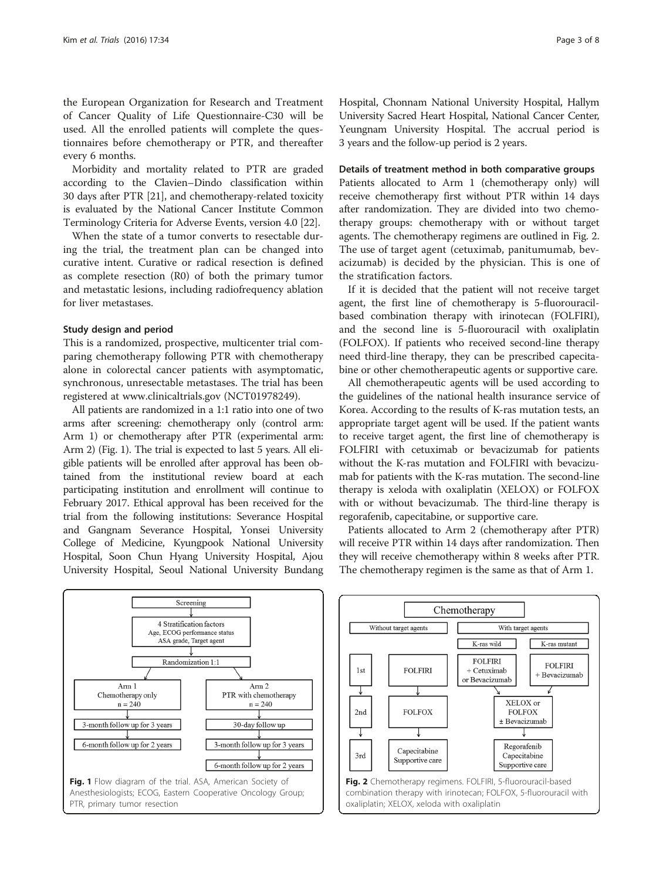the European Organization for Research and Treatment of Cancer Quality of Life Questionnaire-C30 will be used. All the enrolled patients will complete the questionnaires before chemotherapy or PTR, and thereafter every 6 months.

Morbidity and mortality related to PTR are graded according to the Clavien–Dindo classification within 30 days after PTR [[21\]](#page-7-0), and chemotherapy-related toxicity is evaluated by the National Cancer Institute Common Terminology Criteria for Adverse Events, version 4.0 [\[22\]](#page-7-0).

When the state of a tumor converts to resectable during the trial, the treatment plan can be changed into curative intent. Curative or radical resection is defined as complete resection (R0) of both the primary tumor and metastatic lesions, including radiofrequency ablation for liver metastases.

#### Study design and period

This is a randomized, prospective, multicenter trial comparing chemotherapy following PTR with chemotherapy alone in colorectal cancer patients with asymptomatic, synchronous, unresectable metastases. The trial has been registered at [www.clinicaltrials.gov](http://www.clinicaltrials.gov/) (NCT01978249).

All patients are randomized in a 1:1 ratio into one of two arms after screening: chemotherapy only (control arm: Arm 1) or chemotherapy after PTR (experimental arm: Arm 2) (Fig. 1). The trial is expected to last 5 years. All eligible patients will be enrolled after approval has been obtained from the institutional review board at each participating institution and enrollment will continue to February 2017. Ethical approval has been received for the trial from the following institutions: Severance Hospital and Gangnam Severance Hospital, Yonsei University College of Medicine, Kyungpook National University Hospital, Soon Chun Hyang University Hospital, Ajou University Hospital, Seoul National University Bundang Hospital, Chonnam National University Hospital, Hallym University Sacred Heart Hospital, National Cancer Center, Yeungnam University Hospital. The accrual period is 3 years and the follow-up period is 2 years.

#### Details of treatment method in both comparative groups

Patients allocated to Arm 1 (chemotherapy only) will receive chemotherapy first without PTR within 14 days after randomization. They are divided into two chemotherapy groups: chemotherapy with or without target agents. The chemotherapy regimens are outlined in Fig. 2. The use of target agent (cetuximab, panitumumab, bevacizumab) is decided by the physician. This is one of the stratification factors.

If it is decided that the patient will not receive target agent, the first line of chemotherapy is 5-fluorouracilbased combination therapy with irinotecan (FOLFIRI), and the second line is 5-fluorouracil with oxaliplatin (FOLFOX). If patients who received second-line therapy need third-line therapy, they can be prescribed capecitabine or other chemotherapeutic agents or supportive care.

All chemotherapeutic agents will be used according to the guidelines of the national health insurance service of Korea. According to the results of K-ras mutation tests, an appropriate target agent will be used. If the patient wants to receive target agent, the first line of chemotherapy is FOLFIRI with cetuximab or bevacizumab for patients without the K-ras mutation and FOLFIRI with bevacizumab for patients with the K-ras mutation. The second-line therapy is xeloda with oxaliplatin (XELOX) or FOLFOX with or without bevacizumab. The third-line therapy is regorafenib, capecitabine, or supportive care.

Patients allocated to Arm 2 (chemotherapy after PTR) will receive PTR within 14 days after randomization. Then they will receive chemotherapy within 8 weeks after PTR. The chemotherapy regimen is the same as that of Arm 1.





oxaliplatin; XELOX, xeloda with oxaliplatin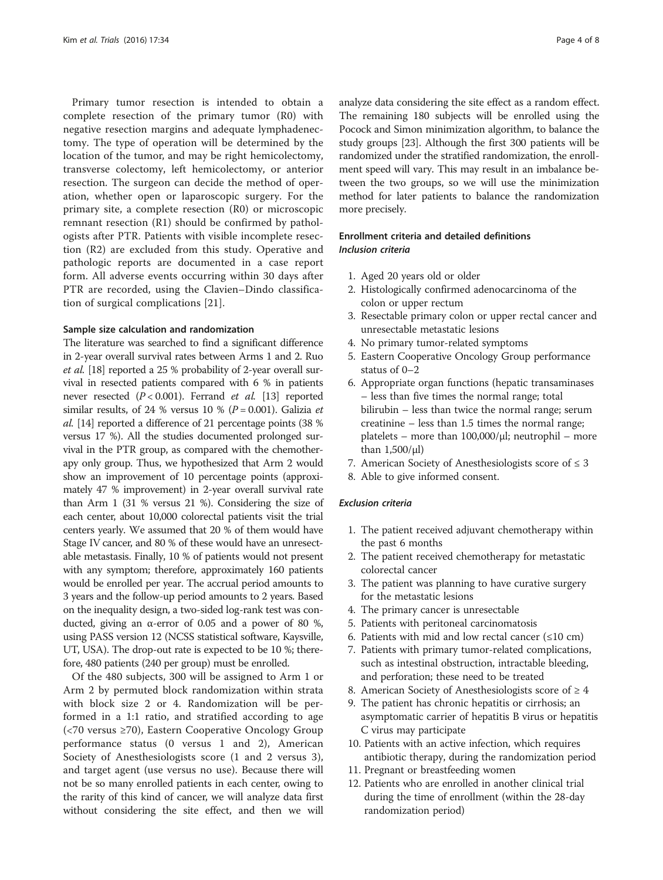Primary tumor resection is intended to obtain a complete resection of the primary tumor (R0) with negative resection margins and adequate lymphadenectomy. The type of operation will be determined by the location of the tumor, and may be right hemicolectomy, transverse colectomy, left hemicolectomy, or anterior resection. The surgeon can decide the method of operation, whether open or laparoscopic surgery. For the primary site, a complete resection (R0) or microscopic remnant resection (R1) should be confirmed by pathologists after PTR. Patients with visible incomplete resection (R2) are excluded from this study. Operative and pathologic reports are documented in a case report form. All adverse events occurring within 30 days after PTR are recorded, using the Clavien–Dindo classification of surgical complications [[21\]](#page-7-0).

#### Sample size calculation and randomization

The literature was searched to find a significant difference in 2-year overall survival rates between Arms 1 and 2. Ruo et al. [\[18\]](#page-7-0) reported a 25 % probability of 2-year overall survival in resected patients compared with 6 % in patients never resected  $(P < 0.001)$ . Ferrand *et al.* [[13](#page-7-0)] reported similar results, of 24 % versus 10 %  $(P = 0.001)$ . Galizia *et* al. [\[14\]](#page-7-0) reported a difference of 21 percentage points (38 % versus 17 %). All the studies documented prolonged survival in the PTR group, as compared with the chemotherapy only group. Thus, we hypothesized that Arm 2 would show an improvement of 10 percentage points (approximately 47 % improvement) in 2-year overall survival rate than Arm 1 (31 % versus 21 %). Considering the size of each center, about 10,000 colorectal patients visit the trial centers yearly. We assumed that 20 % of them would have Stage IV cancer, and 80 % of these would have an unresectable metastasis. Finally, 10 % of patients would not present with any symptom; therefore, approximately 160 patients would be enrolled per year. The accrual period amounts to 3 years and the follow-up period amounts to 2 years. Based on the inequality design, a two-sided log-rank test was conducted, giving an α-error of 0.05 and a power of 80 %, using PASS version 12 (NCSS statistical software, Kaysville, UT, USA). The drop-out rate is expected to be 10 %; therefore, 480 patients (240 per group) must be enrolled.

Of the 480 subjects, 300 will be assigned to Arm 1 or Arm 2 by permuted block randomization within strata with block size 2 or 4. Randomization will be performed in a 1:1 ratio, and stratified according to age (<70 versus ≥70), Eastern Cooperative Oncology Group performance status (0 versus 1 and 2), American Society of Anesthesiologists score (1 and 2 versus 3), and target agent (use versus no use). Because there will not be so many enrolled patients in each center, owing to the rarity of this kind of cancer, we will analyze data first without considering the site effect, and then we will analyze data considering the site effect as a random effect. The remaining 180 subjects will be enrolled using the Pocock and Simon minimization algorithm, to balance the study groups [[23](#page-7-0)]. Although the first 300 patients will be randomized under the stratified randomization, the enrollment speed will vary. This may result in an imbalance between the two groups, so we will use the minimization method for later patients to balance the randomization more precisely.

# Enrollment criteria and detailed definitions Inclusion criteria

- 1. Aged 20 years old or older
- 2. Histologically confirmed adenocarcinoma of the colon or upper rectum
- 3. Resectable primary colon or upper rectal cancer and unresectable metastatic lesions
- 4. No primary tumor-related symptoms
- 5. Eastern Cooperative Oncology Group performance status of 0–2
- 6. Appropriate organ functions (hepatic transaminases – less than five times the normal range; total bilirubin – less than twice the normal range; serum creatinine – less than 1.5 times the normal range; platelets – more than 100,000/μl; neutrophil – more than 1,500/μl)
- 7. American Society of Anesthesiologists score of  $\leq 3$
- 8. Able to give informed consent.

#### Exclusion criteria

- 1. The patient received adjuvant chemotherapy within the past 6 months
- 2. The patient received chemotherapy for metastatic colorectal cancer
- 3. The patient was planning to have curative surgery for the metastatic lesions
- 4. The primary cancer is unresectable
- 5. Patients with peritoneal carcinomatosis
- 6. Patients with mid and low rectal cancer  $(\leq 10 \text{ cm})$
- 7. Patients with primary tumor-related complications, such as intestinal obstruction, intractable bleeding, and perforation; these need to be treated
- 8. American Society of Anesthesiologists score of  $\geq 4$
- 9. The patient has chronic hepatitis or cirrhosis; an asymptomatic carrier of hepatitis B virus or hepatitis C virus may participate
- 10. Patients with an active infection, which requires antibiotic therapy, during the randomization period
- 11. Pregnant or breastfeeding women
- 12. Patients who are enrolled in another clinical trial during the time of enrollment (within the 28-day randomization period)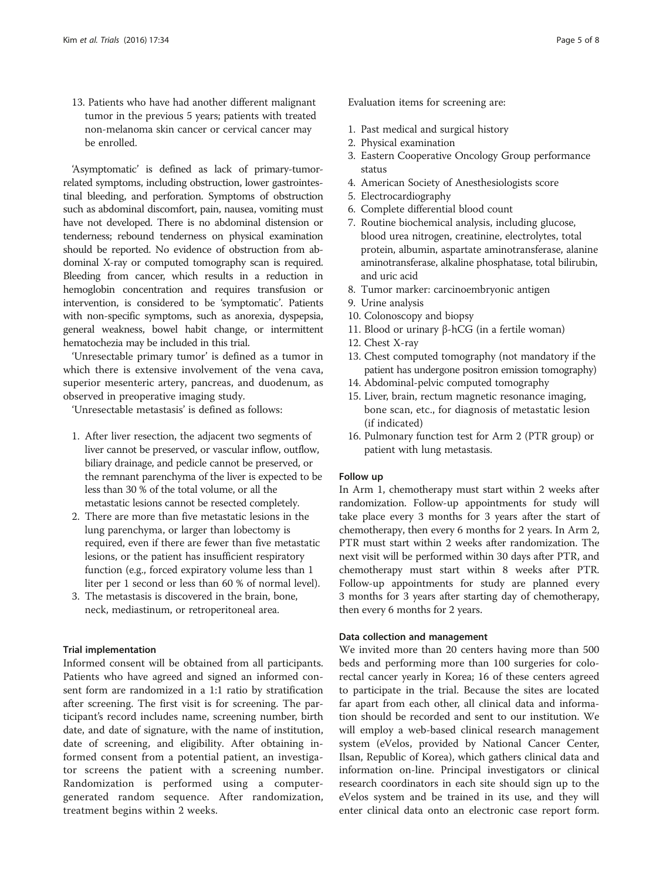13. Patients who have had another different malignant tumor in the previous 5 years; patients with treated non-melanoma skin cancer or cervical cancer may be enrolled.

'Asymptomatic' is defined as lack of primary-tumorrelated symptoms, including obstruction, lower gastrointestinal bleeding, and perforation. Symptoms of obstruction such as abdominal discomfort, pain, nausea, vomiting must have not developed. There is no abdominal distension or tenderness; rebound tenderness on physical examination should be reported. No evidence of obstruction from abdominal X-ray or computed tomography scan is required. Bleeding from cancer, which results in a reduction in hemoglobin concentration and requires transfusion or intervention, is considered to be 'symptomatic'. Patients with non-specific symptoms, such as anorexia, dyspepsia, general weakness, bowel habit change, or intermittent hematochezia may be included in this trial.

'Unresectable primary tumor' is defined as a tumor in which there is extensive involvement of the vena cava, superior mesenteric artery, pancreas, and duodenum, as observed in preoperative imaging study.

'Unresectable metastasis' is defined as follows:

- 1. After liver resection, the adjacent two segments of liver cannot be preserved, or vascular inflow, outflow, biliary drainage, and pedicle cannot be preserved, or the remnant parenchyma of the liver is expected to be less than 30 % of the total volume, or all the metastatic lesions cannot be resected completely.
- 2. There are more than five metastatic lesions in the lung parenchyma, or larger than lobectomy is required, even if there are fewer than five metastatic lesions, or the patient has insufficient respiratory function (e.g., forced expiratory volume less than 1 liter per 1 second or less than 60 % of normal level).
- 3. The metastasis is discovered in the brain, bone, neck, mediastinum, or retroperitoneal area.

#### Trial implementation

Informed consent will be obtained from all participants. Patients who have agreed and signed an informed consent form are randomized in a 1:1 ratio by stratification after screening. The first visit is for screening. The participant's record includes name, screening number, birth date, and date of signature, with the name of institution, date of screening, and eligibility. After obtaining informed consent from a potential patient, an investigator screens the patient with a screening number. Randomization is performed using a computergenerated random sequence. After randomization, treatment begins within 2 weeks.

Evaluation items for screening are:

- 1. Past medical and surgical history
- 2. Physical examination
- 3. Eastern Cooperative Oncology Group performance status
- 4. American Society of Anesthesiologists score
- 5. Electrocardiography
- 6. Complete differential blood count
- 7. Routine biochemical analysis, including glucose, blood urea nitrogen, creatinine, electrolytes, total protein, albumin, aspartate aminotransferase, alanine aminotransferase, alkaline phosphatase, total bilirubin, and uric acid
- 8. Tumor marker: carcinoembryonic antigen
- 9. Urine analysis
- 10. Colonoscopy and biopsy
- 11. Blood or urinary β-hCG (in a fertile woman)
- 12. Chest X-ray
- 13. Chest computed tomography (not mandatory if the patient has undergone positron emission tomography)
- 14. Abdominal-pelvic computed tomography
- 15. Liver, brain, rectum magnetic resonance imaging, bone scan, etc., for diagnosis of metastatic lesion (if indicated)
- 16. Pulmonary function test for Arm 2 (PTR group) or patient with lung metastasis.

#### Follow up

In Arm 1, chemotherapy must start within 2 weeks after randomization. Follow-up appointments for study will take place every 3 months for 3 years after the start of chemotherapy, then every 6 months for 2 years. In Arm 2, PTR must start within 2 weeks after randomization. The next visit will be performed within 30 days after PTR, and chemotherapy must start within 8 weeks after PTR. Follow-up appointments for study are planned every 3 months for 3 years after starting day of chemotherapy, then every 6 months for 2 years.

## Data collection and management

We invited more than 20 centers having more than 500 beds and performing more than 100 surgeries for colorectal cancer yearly in Korea; 16 of these centers agreed to participate in the trial. Because the sites are located far apart from each other, all clinical data and information should be recorded and sent to our institution. We will employ a web-based clinical research management system (eVelos, provided by National Cancer Center, Ilsan, Republic of Korea), which gathers clinical data and information on-line. Principal investigators or clinical research coordinators in each site should sign up to the eVelos system and be trained in its use, and they will enter clinical data onto an electronic case report form.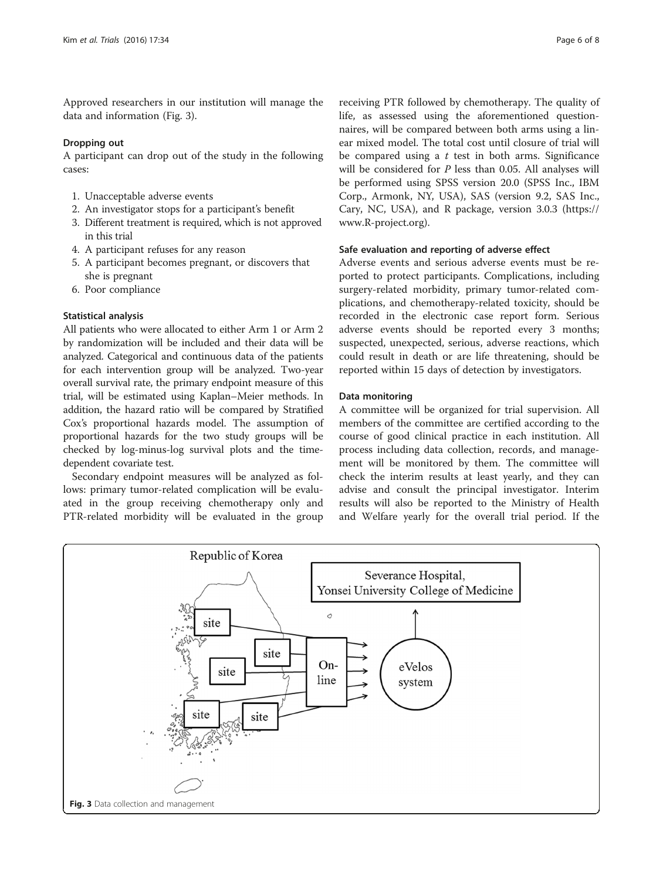Approved researchers in our institution will manage the data and information (Fig. 3).

#### Dropping out

A participant can drop out of the study in the following cases:

- 1. Unacceptable adverse events
- 2. An investigator stops for a participant's benefit
- 3. Different treatment is required, which is not approved in this trial
- 4. A participant refuses for any reason
- 5. A participant becomes pregnant, or discovers that she is pregnant
- 6. Poor compliance

# Statistical analysis

All patients who were allocated to either Arm 1 or Arm 2 by randomization will be included and their data will be analyzed. Categorical and continuous data of the patients for each intervention group will be analyzed. Two-year overall survival rate, the primary endpoint measure of this trial, will be estimated using Kaplan–Meier methods. In addition, the hazard ratio will be compared by Stratified Cox's proportional hazards model. The assumption of proportional hazards for the two study groups will be checked by log-minus-log survival plots and the timedependent covariate test.

Secondary endpoint measures will be analyzed as follows: primary tumor-related complication will be evaluated in the group receiving chemotherapy only and PTR-related morbidity will be evaluated in the group

receiving PTR followed by chemotherapy. The quality of life, as assessed using the aforementioned questionnaires, will be compared between both arms using a linear mixed model. The total cost until closure of trial will be compared using a  $t$  test in both arms. Significance will be considered for *P* less than 0.05. All analyses will be performed using SPSS version 20.0 (SPSS Inc., IBM Corp., Armonk, NY, USA), SAS (version 9.2, SAS Inc., Cary, NC, USA), and R package, version 3.0.3 ([https://](https://www.r-project.org/) [www.R-project.org](https://www.r-project.org/)).

# Safe evaluation and reporting of adverse effect

Adverse events and serious adverse events must be reported to protect participants. Complications, including surgery-related morbidity, primary tumor-related complications, and chemotherapy-related toxicity, should be recorded in the electronic case report form. Serious adverse events should be reported every 3 months; suspected, unexpected, serious, adverse reactions, which could result in death or are life threatening, should be reported within 15 days of detection by investigators.

# Data monitoring

A committee will be organized for trial supervision. All members of the committee are certified according to the course of good clinical practice in each institution. All process including data collection, records, and management will be monitored by them. The committee will check the interim results at least yearly, and they can advise and consult the principal investigator. Interim results will also be reported to the Ministry of Health and Welfare yearly for the overall trial period. If the

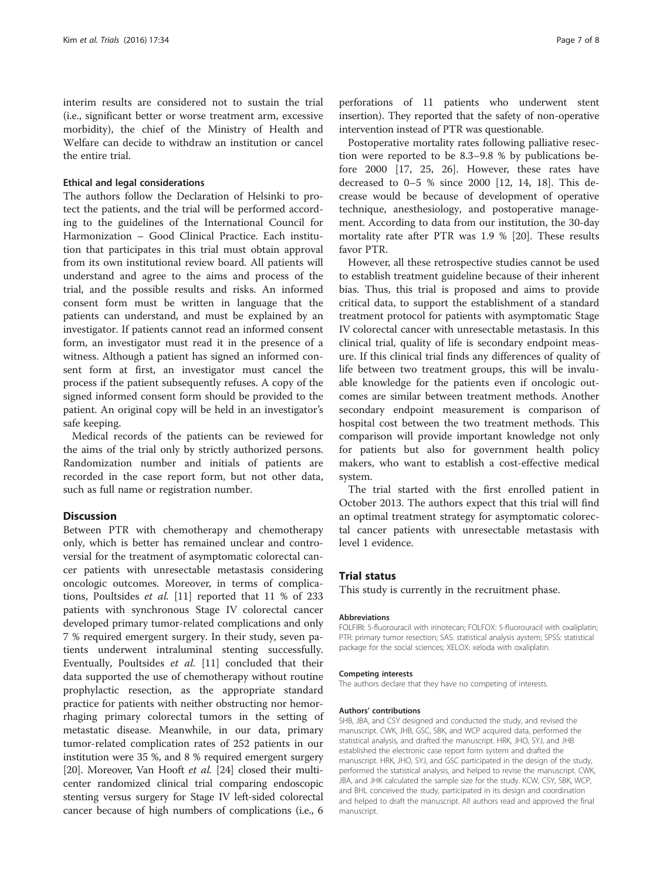interim results are considered not to sustain the trial (i.e., significant better or worse treatment arm, excessive morbidity), the chief of the Ministry of Health and Welfare can decide to withdraw an institution or cancel the entire trial.

## Ethical and legal considerations

The authors follow the Declaration of Helsinki to protect the patients, and the trial will be performed according to the guidelines of the International Council for Harmonization – Good Clinical Practice. Each institution that participates in this trial must obtain approval from its own institutional review board. All patients will understand and agree to the aims and process of the trial, and the possible results and risks. An informed consent form must be written in language that the patients can understand, and must be explained by an investigator. If patients cannot read an informed consent form, an investigator must read it in the presence of a witness. Although a patient has signed an informed consent form at first, an investigator must cancel the process if the patient subsequently refuses. A copy of the signed informed consent form should be provided to the patient. An original copy will be held in an investigator's safe keeping.

Medical records of the patients can be reviewed for the aims of the trial only by strictly authorized persons. Randomization number and initials of patients are recorded in the case report form, but not other data, such as full name or registration number.

#### **Discussion**

Between PTR with chemotherapy and chemotherapy only, which is better has remained unclear and controversial for the treatment of asymptomatic colorectal cancer patients with unresectable metastasis considering oncologic outcomes. Moreover, in terms of complications, Poultsides et al. [[11](#page-7-0)] reported that 11 % of 233 patients with synchronous Stage IV colorectal cancer developed primary tumor-related complications and only 7 % required emergent surgery. In their study, seven patients underwent intraluminal stenting successfully. Eventually, Poultsides et al. [\[11](#page-7-0)] concluded that their data supported the use of chemotherapy without routine prophylactic resection, as the appropriate standard practice for patients with neither obstructing nor hemorrhaging primary colorectal tumors in the setting of metastatic disease. Meanwhile, in our data, primary tumor-related complication rates of 252 patients in our institution were 35 %, and 8 % required emergent surgery [[20](#page-7-0)]. Moreover, Van Hooft et al. [\[24](#page-7-0)] closed their multicenter randomized clinical trial comparing endoscopic stenting versus surgery for Stage IV left-sided colorectal cancer because of high numbers of complications (i.e., 6

perforations of 11 patients who underwent stent insertion). They reported that the safety of non-operative intervention instead of PTR was questionable.

Postoperative mortality rates following palliative resection were reported to be 8.3–9.8 % by publications before 2000 [\[17](#page-7-0), [25](#page-7-0), [26\]](#page-7-0). However, these rates have decreased to 0–5 % since 2000 [[12](#page-7-0), [14](#page-7-0), [18](#page-7-0)]. This decrease would be because of development of operative technique, anesthesiology, and postoperative management. According to data from our institution, the 30-day mortality rate after PTR was 1.9 % [\[20](#page-7-0)]. These results favor PTR.

However, all these retrospective studies cannot be used to establish treatment guideline because of their inherent bias. Thus, this trial is proposed and aims to provide critical data, to support the establishment of a standard treatment protocol for patients with asymptomatic Stage IV colorectal cancer with unresectable metastasis. In this clinical trial, quality of life is secondary endpoint measure. If this clinical trial finds any differences of quality of life between two treatment groups, this will be invaluable knowledge for the patients even if oncologic outcomes are similar between treatment methods. Another secondary endpoint measurement is comparison of hospital cost between the two treatment methods. This comparison will provide important knowledge not only for patients but also for government health policy makers, who want to establish a cost-effective medical system.

The trial started with the first enrolled patient in October 2013. The authors expect that this trial will find an optimal treatment strategy for asymptomatic colorectal cancer patients with unresectable metastasis with level 1 evidence.

#### Trial status

This study is currently in the recruitment phase.

#### Abbreviations

FOLFIRI: 5-fluorouracil with irinotecan; FOLFOX: 5-fluorouracil with oxaliplatin; PTR: primary tumor resection; SAS: statistical analysis aystem; SPSS: statistical package for the social sciences; XELOX: xeloda with oxaliplatin.

#### Competing interests

The authors declare that they have no competing of interests.

#### Authors' contributions

SHB, JBA, and CSY designed and conducted the study, and revised the manuscript. CWK, JHB, GSC, SBK, and WCP acquired data, performed the statistical analysis, and drafted the manuscript. HRK, JHO, SYJ, and JHB established the electronic case report form system and drafted the manuscript. HRK, JHO, SYJ, and GSC participated in the design of the study, performed the statistical analysis, and helped to revise the manuscript. CWK, JBA, and JHK calculated the sample size for the study. KCW, CSY, SBK, WCP, and BHL conceived the study, participated in its design and coordination and helped to draft the manuscript. All authors read and approved the final manuscript.